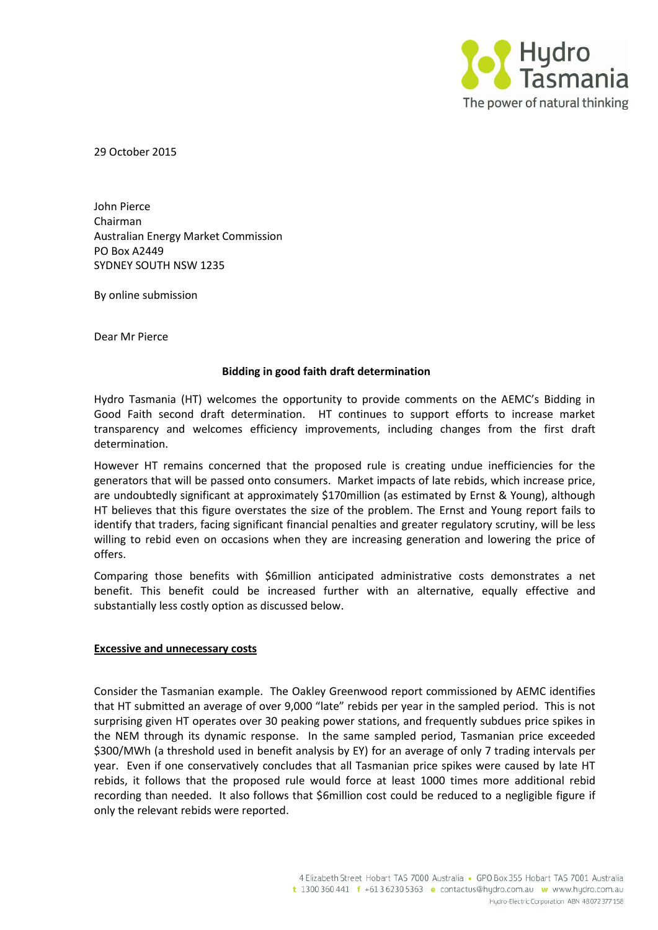

29 October 2015

John Pierce Chairman Australian Energy Market Commission PO Box A2449 SYDNEY SOUTH NSW 1235

By online submission

Dear Mr Pierce

## **Bidding in good faith draft determination**

Hydro Tasmania (HT) welcomes the opportunity to provide comments on the AEMC's Bidding in Good Faith second draft determination. HT continues to support efforts to increase market transparency and welcomes efficiency improvements, including changes from the first draft determination.

However HT remains concerned that the proposed rule is creating undue inefficiencies for the generators that will be passed onto consumers. Market impacts of late rebids, which increase price, are undoubtedly significant at approximately \$170million (as estimated by Ernst & Young), although HT believes that this figure overstates the size of the problem. The Ernst and Young report fails to identify that traders, facing significant financial penalties and greater regulatory scrutiny, will be less willing to rebid even on occasions when they are increasing generation and lowering the price of offers.

Comparing those benefits with \$6million anticipated administrative costs demonstrates a net benefit. This benefit could be increased further with an alternative, equally effective and substantially less costly option as discussed below.

## **Excessive and unnecessary costs**

Consider the Tasmanian example. The Oakley Greenwood report commissioned by AEMC identifies that HT submitted an average of over 9,000 "late" rebids per year in the sampled period. This is not surprising given HT operates over 30 peaking power stations, and frequently subdues price spikes in the NEM through its dynamic response. In the same sampled period, Tasmanian price exceeded \$300/MWh (a threshold used in benefit analysis by EY) for an average of only 7 trading intervals per year. Even if one conservatively concludes that all Tasmanian price spikes were caused by late HT rebids, it follows that the proposed rule would force at least 1000 times more additional rebid recording than needed. It also follows that \$6million cost could be reduced to a negligible figure if only the relevant rebids were reported.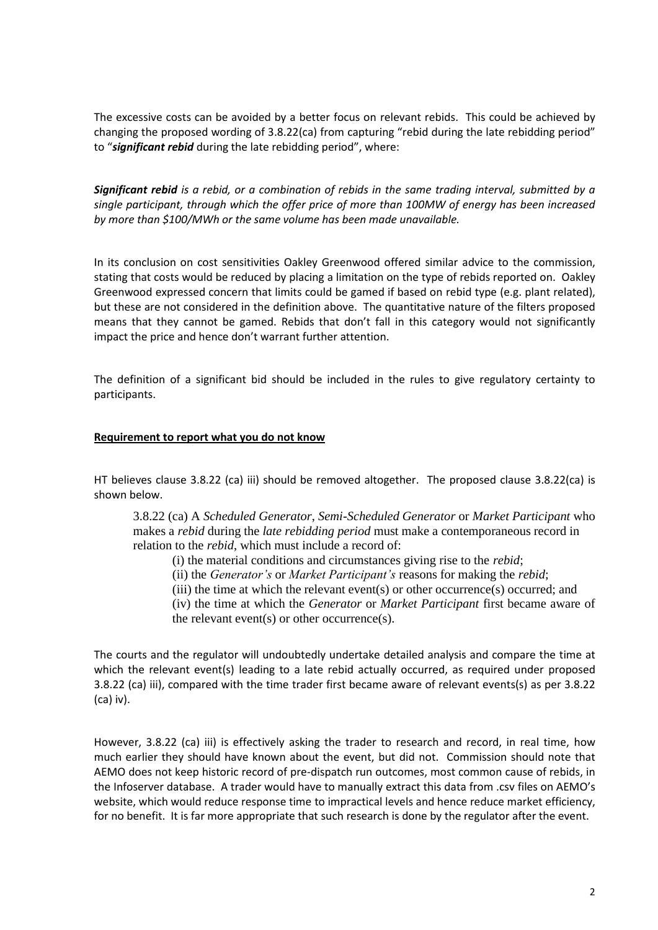The excessive costs can be avoided by a better focus on relevant rebids. This could be achieved by changing the proposed wording of 3.8.22(ca) from capturing "rebid during the late rebidding period" to "*significant rebid* during the late rebidding period", where:

*Significant rebid is a rebid, or a combination of rebids in the same trading interval, submitted by a single participant, through which the offer price of more than 100MW of energy has been increased by more than \$100/MWh or the same volume has been made unavailable.*

In its conclusion on cost sensitivities Oakley Greenwood offered similar advice to the commission, stating that costs would be reduced by placing a limitation on the type of rebids reported on. Oakley Greenwood expressed concern that limits could be gamed if based on rebid type (e.g. plant related), but these are not considered in the definition above. The quantitative nature of the filters proposed means that they cannot be gamed. Rebids that don't fall in this category would not significantly impact the price and hence don't warrant further attention.

The definition of a significant bid should be included in the rules to give regulatory certainty to participants.

## **Requirement to report what you do not know**

HT believes clause 3.8.22 (ca) iii) should be removed altogether. The proposed clause 3.8.22(ca) is shown below.

3.8.22 (ca) A *Scheduled Generator*, *Semi-Scheduled Generator* or *Market Participant* who makes a *rebid* during the *late rebidding period* must make a contemporaneous record in relation to the *rebid*, which must include a record of:

(i) the material conditions and circumstances giving rise to the *rebid*;

(ii) the *Generator's* or *Market Participant's* reasons for making the *rebid*;

(iii) the time at which the relevant event(s) or other occurrence(s) occurred; and

(iv) the time at which the *Generator* or *Market Participant* first became aware of the relevant event(s) or other occurrence(s).

The courts and the regulator will undoubtedly undertake detailed analysis and compare the time at which the relevant event(s) leading to a late rebid actually occurred, as required under proposed 3.8.22 (ca) iii), compared with the time trader first became aware of relevant events(s) as per 3.8.22 (ca) iv).

However, 3.8.22 (ca) iii) is effectively asking the trader to research and record, in real time, how much earlier they should have known about the event, but did not. Commission should note that AEMO does not keep historic record of pre-dispatch run outcomes, most common cause of rebids, in the Infoserver database. A trader would have to manually extract this data from .csv files on AEMO's website, which would reduce response time to impractical levels and hence reduce market efficiency, for no benefit. It is far more appropriate that such research is done by the regulator after the event.